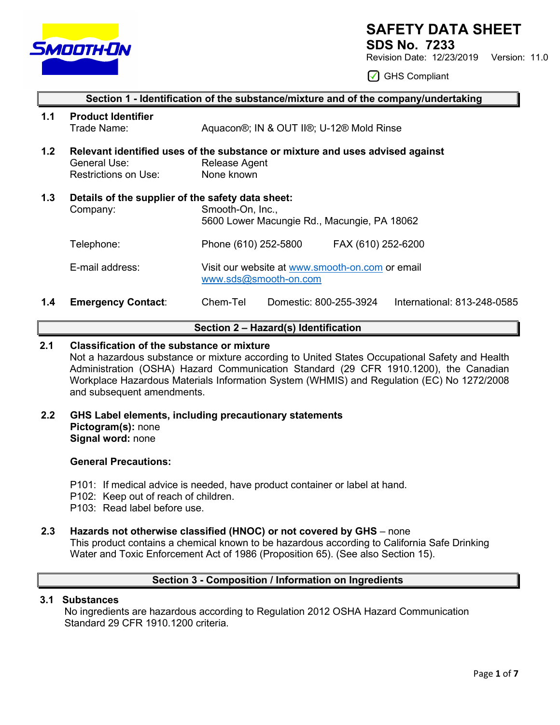

# **SAFETY DATA SHEET**

**SDS No. 7233**

Revision Date: 12/23/2019 Version: 11.0

◯ GHS Compliant

| Section 1 - Identification of the substance/mixture and of the company/undertaking |                                                               |                                                                                                              |  |  |  |
|------------------------------------------------------------------------------------|---------------------------------------------------------------|--------------------------------------------------------------------------------------------------------------|--|--|--|
| 1.1                                                                                | <b>Product Identifier</b><br>Trade Name:                      | Aquacon®; IN & OUT II®; U-12® Mold Rinse                                                                     |  |  |  |
| 1.2                                                                                | General Use:<br>Restrictions on Use:                          | Relevant identified uses of the substance or mixture and uses advised against<br>Release Agent<br>None known |  |  |  |
| 1.3                                                                                | Details of the supplier of the safety data sheet:<br>Company: | Smooth-On, Inc.,<br>5600 Lower Macungie Rd., Macungie, PA 18062                                              |  |  |  |
|                                                                                    | Telephone:                                                    | Phone (610) 252-5800<br>FAX (610) 252-6200                                                                   |  |  |  |
|                                                                                    | E-mail address:                                               | Visit our website at www.smooth-on.com or email<br>www.sds@smooth-on.com                                     |  |  |  |
| 1.4                                                                                | <b>Emergency Contact:</b>                                     | Chem-Tel<br>Domestic: 800-255-3924<br>International: 813-248-0585                                            |  |  |  |

# **Section 2 – Hazard(s) Identification**

# **2.1 Classification of the substance or mixture**

Not a hazardous substance or mixture according to United States Occupational Safety and Health Administration (OSHA) Hazard Communication Standard (29 CFR 1910.1200), the Canadian Workplace Hazardous Materials Information System (WHMIS) and Regulation (EC) No 1272/2008 and subsequent amendments.

**2.2 GHS Label elements, including precautionary statements Pictogram(s):** none **Signal word:** none

# **General Precautions:**

- P101: If medical advice is needed, have product container or label at hand.
- P102: Keep out of reach of children.
- P103: Read label before use.

# **2.3 Hazards not otherwise classified (HNOC) or not covered by GHS** – none

This product contains a chemical known to be hazardous according to California Safe Drinking Water and Toxic Enforcement Act of 1986 (Proposition 65). (See also Section 15).

# **Section 3 - Composition / Information on Ingredients**

# **3.1 Substances**

 No ingredients are hazardous according to Regulation 2012 OSHA Hazard Communication Standard 29 CFR 1910.1200 criteria.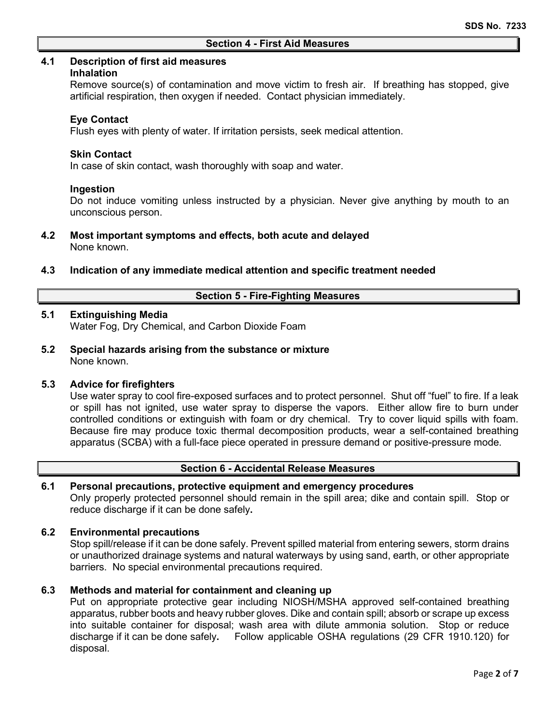#### **4.1 Description of first aid measures**

#### **Inhalation**

Remove source(s) of contamination and move victim to fresh air. If breathing has stopped, give artificial respiration, then oxygen if needed. Contact physician immediately.

### **Eye Contact**

Flush eyes with plenty of water. If irritation persists, seek medical attention.

#### **Skin Contact**

In case of skin contact, wash thoroughly with soap and water.

### **Ingestion**

Do not induce vomiting unless instructed by a physician. Never give anything by mouth to an unconscious person.

#### **4.2 Most important symptoms and effects, both acute and delayed** None known.

### **4.3 Indication of any immediate medical attention and specific treatment needed**

### **Section 5 - Fire-Fighting Measures**

# **5.1 Extinguishing Media**

Water Fog, Dry Chemical, and Carbon Dioxide Foam

**5.2 Special hazards arising from the substance or mixture** None known.

## **5.3 Advice for firefighters**

Use water spray to cool fire-exposed surfaces and to protect personnel. Shut off "fuel" to fire. If a leak or spill has not ignited, use water spray to disperse the vapors. Either allow fire to burn under controlled conditions or extinguish with foam or dry chemical. Try to cover liquid spills with foam. Because fire may produce toxic thermal decomposition products, wear a self-contained breathing apparatus (SCBA) with a full-face piece operated in pressure demand or positive-pressure mode.

# **Section 6 - Accidental Release Measures**

#### **6.1 Personal precautions, protective equipment and emergency procedures**

Only properly protected personnel should remain in the spill area; dike and contain spill. Stop or reduce discharge if it can be done safely**.**

## **6.2 Environmental precautions**

Stop spill/release if it can be done safely. Prevent spilled material from entering sewers, storm drains or unauthorized drainage systems and natural waterways by using sand, earth, or other appropriate barriers.No special environmental precautions required.

# **6.3 Methods and material for containment and cleaning up**

Put on appropriate protective gear including NIOSH/MSHA approved self-contained breathing apparatus, rubber boots and heavy rubber gloves. Dike and contain spill; absorb or scrape up excess into suitable container for disposal; wash area with dilute ammonia solution. Stop or reduce discharge if it can be done safely**.** Follow applicable OSHA regulations (29 CFR 1910.120) for disposal.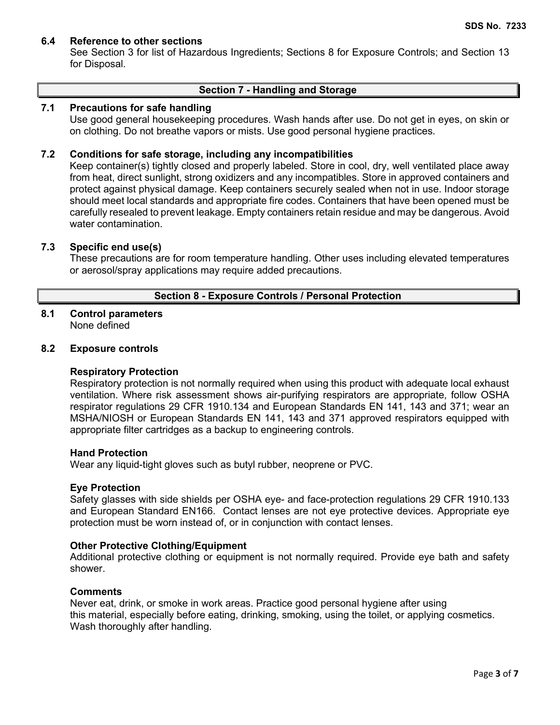# **6.4 Reference to other sections**

See Section 3 for list of Hazardous Ingredients; Sections 8 for Exposure Controls; and Section 13 for Disposal.

## **Section 7 - Handling and Storage**

## **7.1 Precautions for safe handling**

Use good general housekeeping procedures. Wash hands after use. Do not get in eyes, on skin or on clothing. Do not breathe vapors or mists. Use good personal hygiene practices.

## **7.2 Conditions for safe storage, including any incompatibilities**

Keep container(s) tightly closed and properly labeled. Store in cool, dry, well ventilated place away from heat, direct sunlight, strong oxidizers and any incompatibles. Store in approved containers and protect against physical damage. Keep containers securely sealed when not in use. Indoor storage should meet local standards and appropriate fire codes. Containers that have been opened must be carefully resealed to prevent leakage. Empty containers retain residue and may be dangerous. Avoid water contamination.

# **7.3 Specific end use(s)**

These precautions are for room temperature handling. Other uses including elevated temperatures or aerosol/spray applications may require added precautions.

## **Section 8 - Exposure Controls / Personal Protection**

#### **8.1 Control parameters** None defined

### **8.2 Exposure controls**

#### **Respiratory Protection**

Respiratory protection is not normally required when using this product with adequate local exhaust ventilation. Where risk assessment shows air-purifying respirators are appropriate, follow OSHA respirator regulations 29 CFR 1910.134 and European Standards EN 141, 143 and 371; wear an MSHA/NIOSH or European Standards EN 141, 143 and 371 approved respirators equipped with appropriate filter cartridges as a backup to engineering controls.

#### **Hand Protection**

Wear any liquid-tight gloves such as butyl rubber, neoprene or PVC.

#### **Eye Protection**

Safety glasses with side shields per OSHA eye- and face-protection regulations 29 CFR 1910.133 and European Standard EN166. Contact lenses are not eye protective devices. Appropriate eye protection must be worn instead of, or in conjunction with contact lenses.

#### **Other Protective Clothing/Equipment**

Additional protective clothing or equipment is not normally required. Provide eye bath and safety shower.

#### **Comments**

Never eat, drink, or smoke in work areas. Practice good personal hygiene after using this material, especially before eating, drinking, smoking, using the toilet, or applying cosmetics. Wash thoroughly after handling.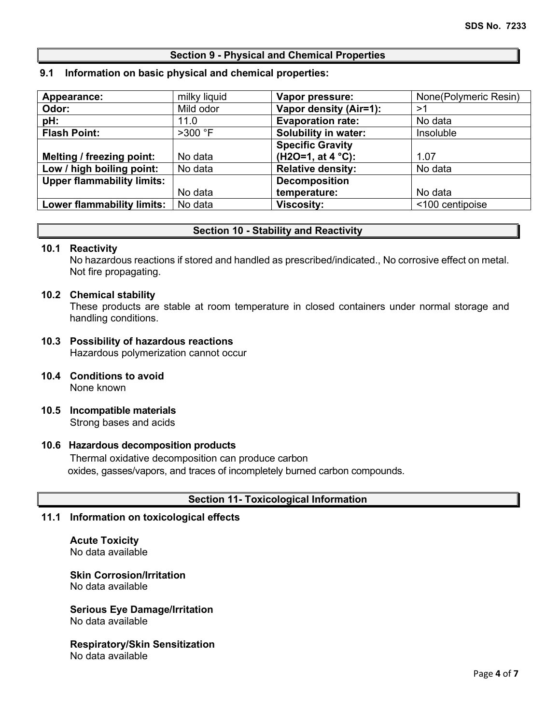# **Section 9 - Physical and Chemical Properties**

## **9.1 Information on basic physical and chemical properties:**

| Appearance:                       | milky liquid | Vapor pressure:             | None(Polymeric Resin) |
|-----------------------------------|--------------|-----------------------------|-----------------------|
| Odor:                             | Mild odor    | Vapor density (Air=1):      | >1                    |
| pH:                               | 11.0         | <b>Evaporation rate:</b>    | No data               |
| <b>Flash Point:</b>               | $>300$ °F    | <b>Solubility in water:</b> | Insoluble             |
|                                   |              | <b>Specific Gravity</b>     |                       |
| Melting / freezing point:         | No data      | $(H2O=1, at 4 °C):$         | 1.07                  |
| Low / high boiling point:         | No data      | <b>Relative density:</b>    | No data               |
| <b>Upper flammability limits:</b> |              | <b>Decomposition</b>        |                       |
|                                   | No data      | temperature:                | No data               |
| <b>Lower flammability limits:</b> | No data      | <b>Viscosity:</b>           | <100 centipoise       |

# **Section 10 - Stability and Reactivity**

### **10.1 Reactivity**

No hazardous reactions if stored and handled as prescribed/indicated., No corrosive effect on metal. Not fire propagating.

### **10.2 Chemical stability**

These products are stable at room temperature in closed containers under normal storage and handling conditions.

# **10.3 Possibility of hazardous reactions**

Hazardous polymerization cannot occur

- **10.4 Conditions to avoid** None known
- **10.5 Incompatible materials** Strong bases and acids

#### **10.6 Hazardous decomposition products**

Thermal oxidative decomposition can produce carbon oxides, gasses/vapors, and traces of incompletely burned carbon compounds.

# **Section 11- Toxicological Information**

### **11.1 Information on toxicological effects**

**Acute Toxicity** No data available

# **Skin Corrosion/Irritation**

No data available

### **Serious Eye Damage/Irritation** No data available

**Respiratory/Skin Sensitization** No data available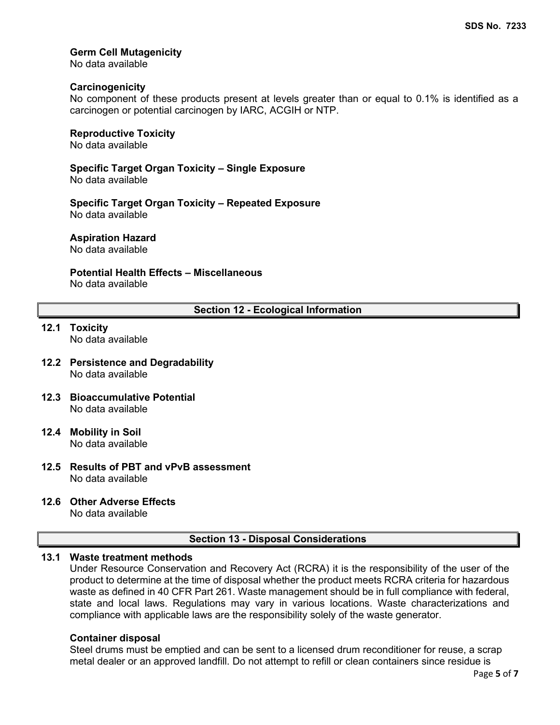# **Germ Cell Mutagenicity**

No data available

# **Carcinogenicity**

No component of these products present at levels greater than or equal to 0.1% is identified as a carcinogen or potential carcinogen by IARC, ACGIH or NTP.

### **Reproductive Toxicity**

No data available

**Specific Target Organ Toxicity – Single Exposure**

No data available

**Specific Target Organ Toxicity – Repeated Exposure** No data available

**Aspiration Hazard**

No data available

# **Potential Health Effects – Miscellaneous**

No data available

# **Section 12 - Ecological Information**

# **12.1 Toxicity**

No data available

- **12.2 Persistence and Degradability** No data available
- **12.3 Bioaccumulative Potential** No data available
- **12.4 Mobility in Soil** No data available
- **12.5 Results of PBT and vPvB assessment** No data available
- **12.6 Other Adverse Effects**

No data available

# **Section 13 - Disposal Considerations**

# **13.1 Waste treatment methods**

Under Resource Conservation and Recovery Act (RCRA) it is the responsibility of the user of the product to determine at the time of disposal whether the product meets RCRA criteria for hazardous waste as defined in 40 CFR Part 261. Waste management should be in full compliance with federal, state and local laws. Regulations may vary in various locations. Waste characterizations and compliance with applicable laws are the responsibility solely of the waste generator.

#### **Container disposal**

Steel drums must be emptied and can be sent to a licensed drum reconditioner for reuse, a scrap metal dealer or an approved landfill. Do not attempt to refill or clean containers since residue is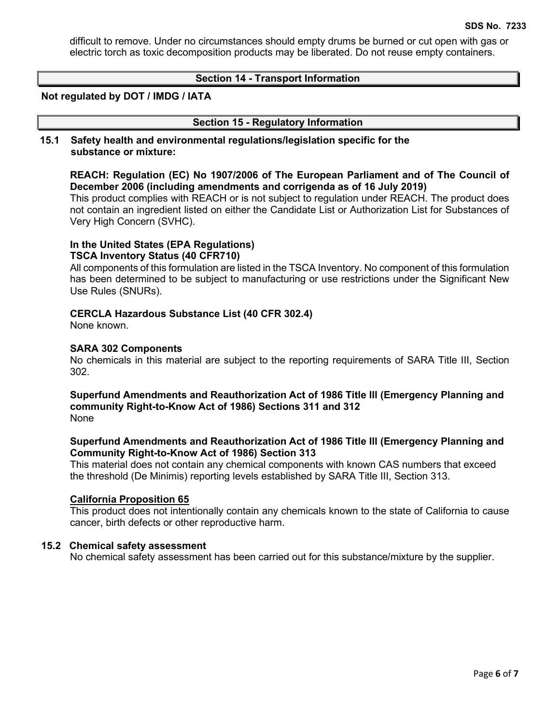difficult to remove. Under no circumstances should empty drums be burned or cut open with gas or electric torch as toxic decomposition products may be liberated. Do not reuse empty containers.

### **Section 14 - Transport Information**

#### **Not regulated by DOT / IMDG / IATA**

#### **Section 15 - Regulatory Information**

#### **15.1 Safety health and environmental regulations/legislation specific for the substance or mixture:**

# **REACH: Regulation (EC) No 1907/2006 of The European Parliament and of The Council of December 2006 (including amendments and corrigenda as of 16 July 2019)**

This product complies with REACH or is not subject to regulation under REACH. The product does not contain an ingredient listed on either the Candidate List or Authorization List for Substances of Very High Concern (SVHC).

#### **In the United States (EPA Regulations) TSCA Inventory Status (40 CFR710)**

All components of this formulation are listed in the TSCA Inventory. No component of this formulation has been determined to be subject to manufacturing or use restrictions under the Significant New Use Rules (SNURs).

### **CERCLA Hazardous Substance List (40 CFR 302.4)**

None known.

### **SARA 302 Components**

No chemicals in this material are subject to the reporting requirements of SARA Title III, Section 302.

#### **Superfund Amendments and Reauthorization Act of 1986 Title lll (Emergency Planning and community Right-to-Know Act of 1986) Sections 311 and 312** None

# **Superfund Amendments and Reauthorization Act of 1986 Title lll (Emergency Planning and Community Right-to-Know Act of 1986) Section 313**

This material does not contain any chemical components with known CAS numbers that exceed the threshold (De Minimis) reporting levels established by SARA Title III, Section 313.

#### **California Proposition 65**

This product does not intentionally contain any chemicals known to the state of California to cause cancer, birth defects or other reproductive harm.

#### **15.2 Chemical safety assessment**

No chemical safety assessment has been carried out for this substance/mixture by the supplier.